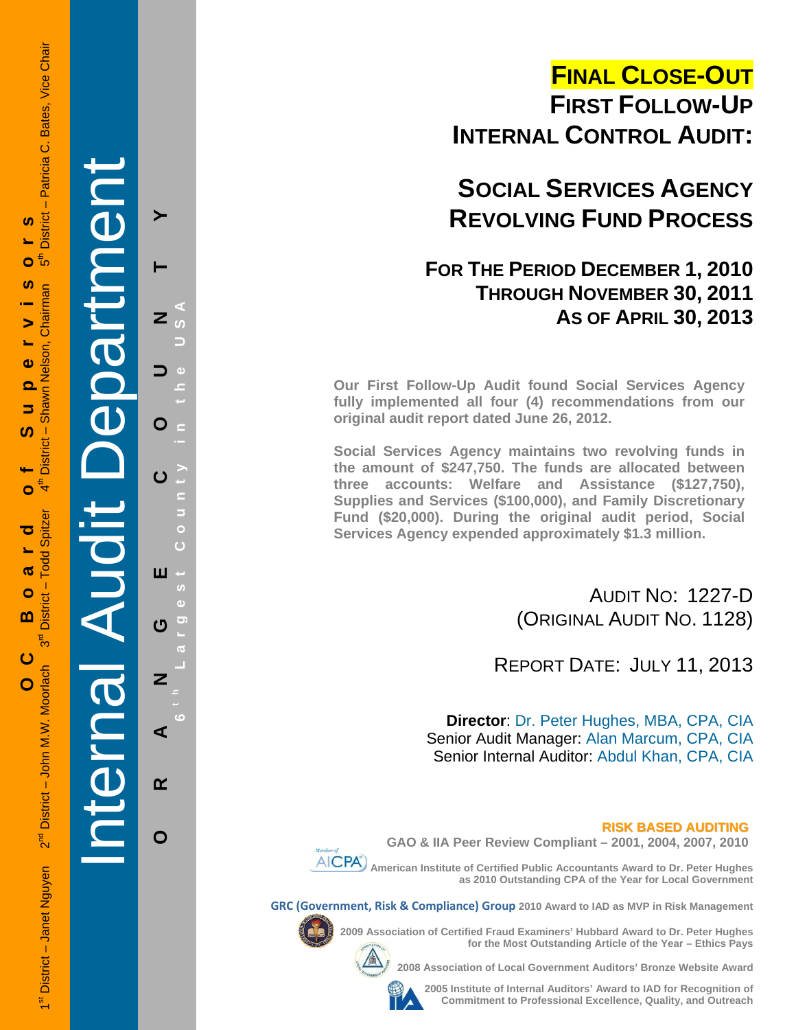## **FINAL CLOSE-OUT FIRST FOLLOW-UP INTERNAL CONTROL AUDIT:**

## **SOCIAL SERVICES AGENCY REVOLVING FUND PROCESS**

## **FOR THE PERIOD DECEMBER 1, 2010 THROUGH NOVEMBER 30, 2011 AS OF APRIL 30, 2013**

**Our First Follow-Up Audit found Social Services Agency fully implemented all four (4) recommendations from our original audit report dated June 26, 2012.** 

**Social Services Agency maintains two revolving funds in the amount of \$247,750. The funds are allocated between three accounts: Welfare and Assistance (\$127,750), Supplies and Services (\$100,000), and Family Discretionary Fund (\$20,000). During the original audit period, Social Services Agency expended approximately \$1.3 million.** 

> AUDIT NO: 1227-D (ORIGINAL AUDIT NO. 1128)

REPORT DATE: JULY 11, 2013

**Director**: Dr. Peter Hughes, MBA, CPA, CIA Senior Audit Manager: Alan Marcum, CPA, CIA Senior Internal Auditor: Abdul Khan, CPA, CIA

**RISK BASED AUDITING GAO & IIA Peer Review Compliant – 2001, 2004, 2007, 2010** 



 **American Institute of Certified Public Accountants Award to Dr. Peter Hughes as 2010 Outstanding CPA of the Year for Local Government** 

**GRC (Government, Risk & Compliance) Group 2010 Award to IAD as MVP in Risk Management** 



**2009 Association of Certified Fraud Examiners' Hubbard Award to Dr. Peter Hughes** 

**2008 Association of Local Government Auditors' Bronze Website Award** 



**2005 Institute of Internal Auditors' Award to IAD for Recognition of Commitment to Professional Excellence, Quality, and Outreach**

**for the Most Outstanding Article of the Year – Ethics Pays** 

 $\blacktriangleright$ 

ഗ

ರ

ပ

 $\overline{O}$ 

Internal Audit Department

**ORANGE COUNTY 6 t h Lar**

ш

ෆ

Z

⋖

 $\alpha$ 

O

**g**

**est Count**

**y in the USA** 

 $\overline{z}$ 

O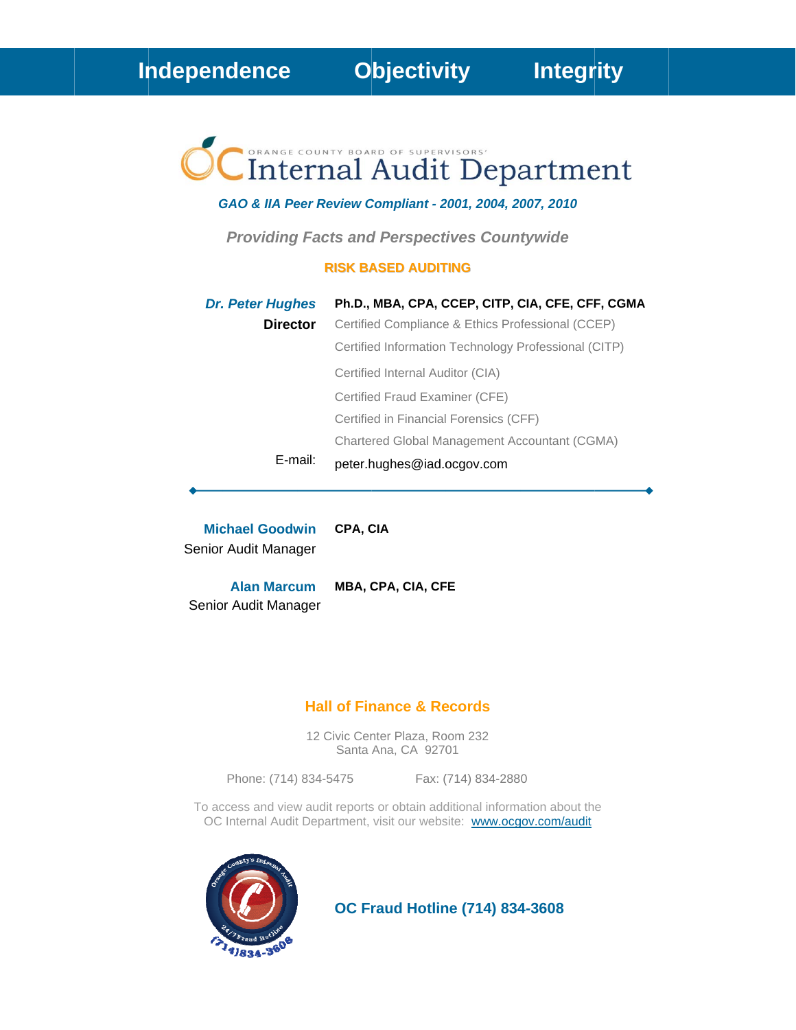# Internal Audit Department

#### GAO & IIA Peer Review Compliant - 2001, 2004, 2007, 2010

**Providing Facts and Perspectives Countywide** 

#### **RISK BASED AUDITING**

| <b>Dr. Peter Hughes</b> | Ph.D., MBA, CPA, CCEP, CITP, CIA, CFE, CFF, CGMA     |
|-------------------------|------------------------------------------------------|
| <b>Director</b>         | Certified Compliance & Ethics Professional (CCEP)    |
|                         | Certified Information Technology Professional (CITP) |
|                         | Certified Internal Auditor (CIA)                     |
|                         | Certified Fraud Examiner (CFE)                       |
|                         | Certified in Financial Forensics (CFF)               |
|                         | Chartered Global Management Accountant (CGMA)        |
| E-mail:                 | peter.hughes@iad.ocgov.com                           |

**Michael Goodwin** CPA, CIA Senior Audit Manager

**Alan Marcum** MBA, CPA, CIA, CFE Senior Audit Manager

#### **Hall of Finance & Records**

12 Civic Center Plaza, Room 232 Santa Ana, CA 92701

Phone: (714) 834-5475

Fax: (714) 834-2880

To access and view audit reports or obtain additional information about the OC Internal Audit Department, visit our website: www.ocgov.com/audit



**OC Fraud Hotline (714) 834-3608**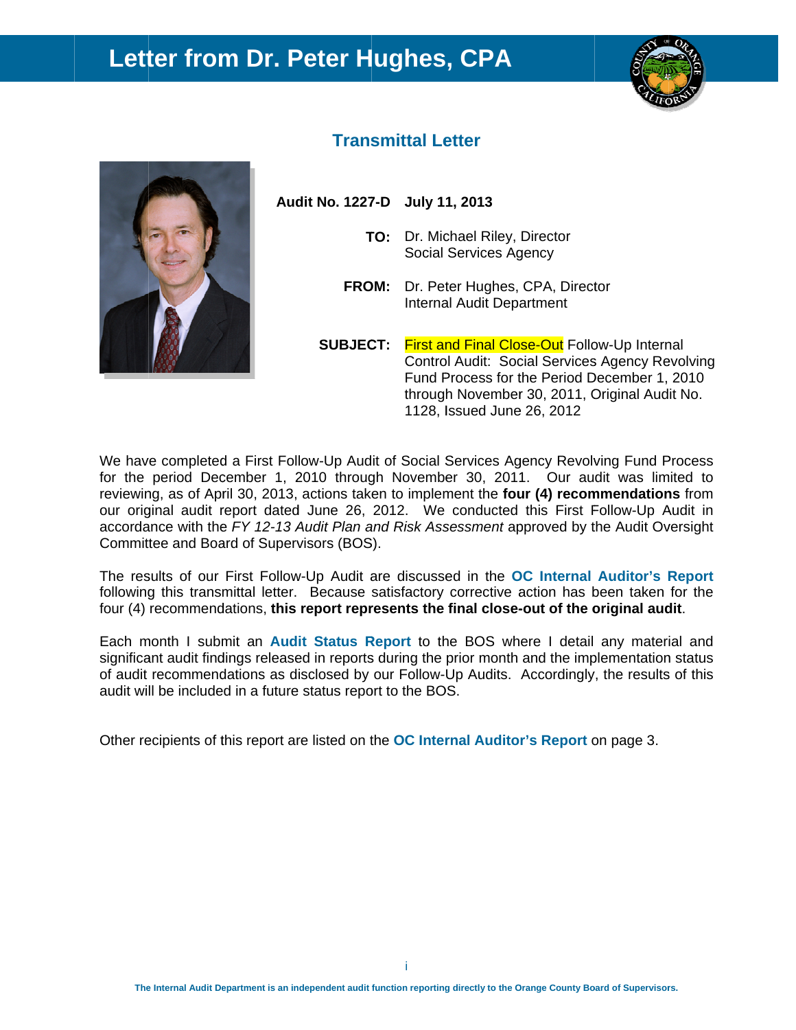## **Letter from Dr. Peter Hughes, CPA**





### **Transmittal Letter**

**Aud dit No. 1227 7-D July 1 1, 2013** 

- **TO:** Dr. Michael Riley, Director Social Services Agency
- **FROM:** Dr. Peter Hughes, CPA, Director Internal Audit Department
- **SUBJECT:** First and Final Close-Out Follow-Up Internal Control Audit: Social Services Agency Revolving Fund Process for the Period December 1, 2010 through November 30, 2011, Original Audit No. 1128, Issued June 26, 2012

We have completed a First Follow-Up Audit of Social Services Agency Revolving Fund Process for the period December 1, 2010 through November 30, 2011. Our audit was limited to reviewing, as of April 30, 2013, actions taken to implement the **four (4) recommendations** from our original audit report dated June 26, 2012. We conducted this First Follow-Up Audit in accordance with the FY 12-13 Audit Plan and Risk Assessment approved by the Audit Oversight Committee and Board of Supervisors (BOS).

The results of our First Follow-Up Audit are discussed in the **OC Internal Auditor's Report** following this transmittal letter. Because satisfactory corrective action has been taken for the four (4) recommendations, this report represents the final close-out of the original audit.

Each month I submit an **Audit Status Report** to the BOS where I detail any material and significant audit findings released in reports during the prior month and the implementation status of audit recommendations as disclosed by our Follow-Up Audits. Accordingly, the results of this audit will be included in a future status report to the BOS.

Other recipients of this report are listed on the **OC Internal Auditor's Report** on page 3.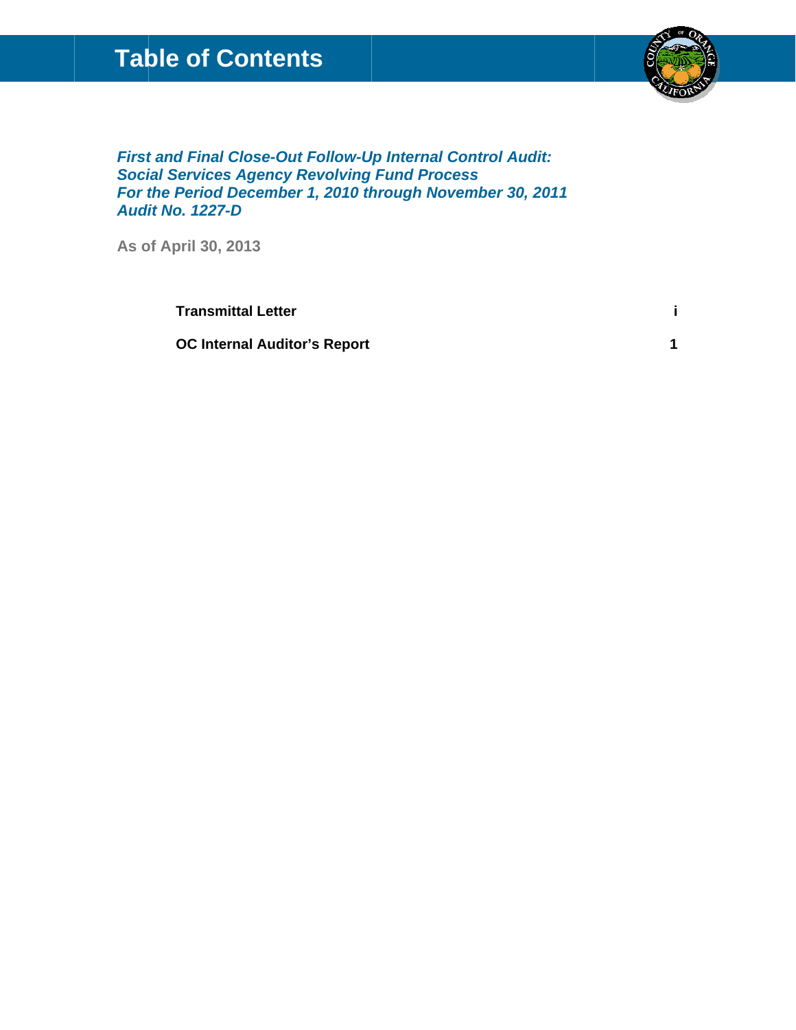## **Table of Contents**



 $\mathbf{i}$ 

 $\overline{1}$ 

First and Final Close-Out Follow-Up Internal Control Audit: **Social Services Agency Revolving Fund Process** For the Period December 1, 2010 through November 30, 2011 **Audit No. 1227-D** 

As of April 30, 2013

**Transmittal Letter** 

**OC Internal Auditor's Report**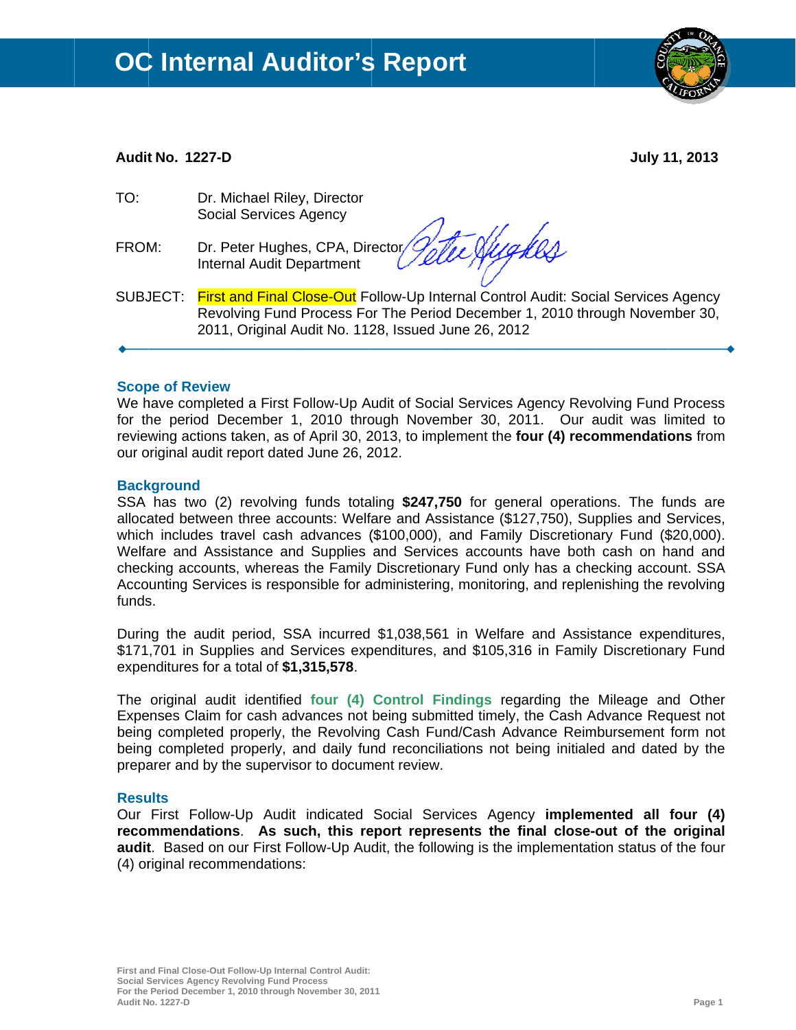

#### **Audit No. 1227-D**

**July 11, 2013** 

- TO: Dr. Michael Riley, Director **Social Services Agency**
- FROM: Dr. Peter Hughes, CPA, Director, **Internal Audit Department**

Mights

SUBJECT: First and Final Close-Out Follow-Up Internal Control Audit: Social Services Agency Revolving Fund Process For The Period December 1, 2010 through November 30, 2011, Original Audit No. 1128, Issued June 26, 2012

#### **Scope of Review**

We have completed a First Follow-Up Audit of Social Services Agency Revolving Fund Process for the period December 1, 2010 through November 30, 2011. Our audit was limited to reviewing actions taken, as of April 30, 2013, to implement the four (4) recommendations from our original audit report dated June 26, 2012.

#### **Background**

SSA has two (2) revolving funds totaling \$247,750 for general operations. The funds are allocated between three accounts: Welfare and Assistance (\$127,750), Supplies and Services, which includes travel cash advances (\$100,000), and Family Discretionary Fund (\$20,000). Welfare and Assistance and Supplies and Services accounts have both cash on hand and checking accounts, whereas the Family Discretionary Fund only has a checking account. SSA Accounting Services is responsible for administering, monitoring, and replenishing the revolving funds.

During the audit period, SSA incurred \$1,038,561 in Welfare and Assistance expenditures, \$171,701 in Supplies and Services expenditures, and \$105,316 in Family Discretionary Fund expenditures for a total of \$1,315,578.

The original audit identified four (4) Control Findings regarding the Mileage and Other Expenses Claim for cash advances not being submitted timely, the Cash Advance Request not being completed properly, the Revolving Cash Fund/Cash Advance Reimbursement form not being completed properly, and daily fund reconciliations not being initialed and dated by the preparer and by the supervisor to document review.

#### **Results**

Our First Follow-Up Audit indicated Social Services Agency implemented all four (4) recommendations. As such, this report represents the final close-out of the original audit. Based on our First Follow-Up Audit, the following is the implementation status of the four (4) original recommendations: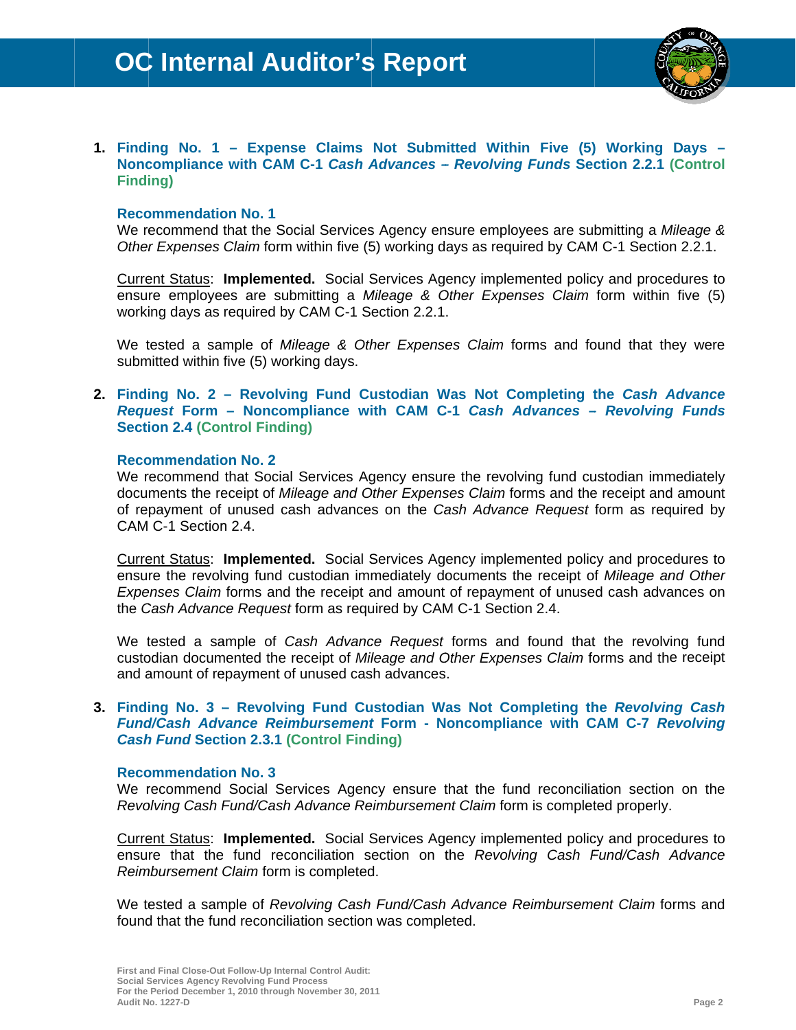

1. Finding No. 1 – Expense Claims Not Submitted Within Five (5) Working Days – Noncompliance with CAM C-1 Cash Advances - Revolving Funds Section 2.2.1 (Control **Finding**)

#### **Recommendation No. 1**

We recommend that the Social Services Agency ensure employees are submitting a Mileage & Other Expenses Claim form within five (5) working days as required by CAM C-1 Section 2.2.1.

Current Status: Implemented. Social Services Agency implemented policy and procedures to ensure employees are submitting a Mileage & Other Expenses Claim form within five (5) working days as required by CAM C-1 Section 2.2.1.

We tested a sample of Mileage & Other Expenses Claim forms and found that they were submitted within five (5) working days.

#### 2. Finding No. 2 – Revolving Fund Custodian Was Not Completing the Cash Advance Request Form - Noncompliance with CAM C-1 Cash Advances - Revolving Funds **Section 2.4 (Control Finding)**

#### **Recommendation No. 2**

We recommend that Social Services Agency ensure the revolving fund custodian immediately documents the receipt of Mileage and Other Expenses Claim forms and the receipt and amount of repayment of unused cash advances on the Cash Advance Request form as required by CAM C-1 Section 2.4.

Current Status: Implemented. Social Services Agency implemented policy and procedures to ensure the revolving fund custodian immediately documents the receipt of Mileage and Other Expenses Claim forms and the receipt and amount of repayment of unused cash advances on the Cash Advance Request form as required by CAM C-1 Section 2.4.

We tested a sample of Cash Advance Request forms and found that the revolving fund custodian documented the receipt of Mileage and Other Expenses Claim forms and the receipt and amount of repayment of unused cash advances.

#### 3. Finding No. 3 - Revolving Fund Custodian Was Not Completing the Revolving Cash Fund/Cash Advance Reimbursement Form - Noncompliance with CAM C-7 Revolving **Cash Fund Section 2.3.1 (Control Finding)**

#### **Recommendation No. 3**

We recommend Social Services Agency ensure that the fund reconciliation section on the Revolving Cash Fund/Cash Advance Reimbursement Claim form is completed properly.

Current Status: Implemented. Social Services Agency implemented policy and procedures to ensure that the fund reconciliation section on the Revolving Cash Fund/Cash Advance Reimbursement Claim form is completed.

We tested a sample of Revolving Cash Fund/Cash Advance Reimbursement Claim forms and found that the fund reconciliation section was completed.